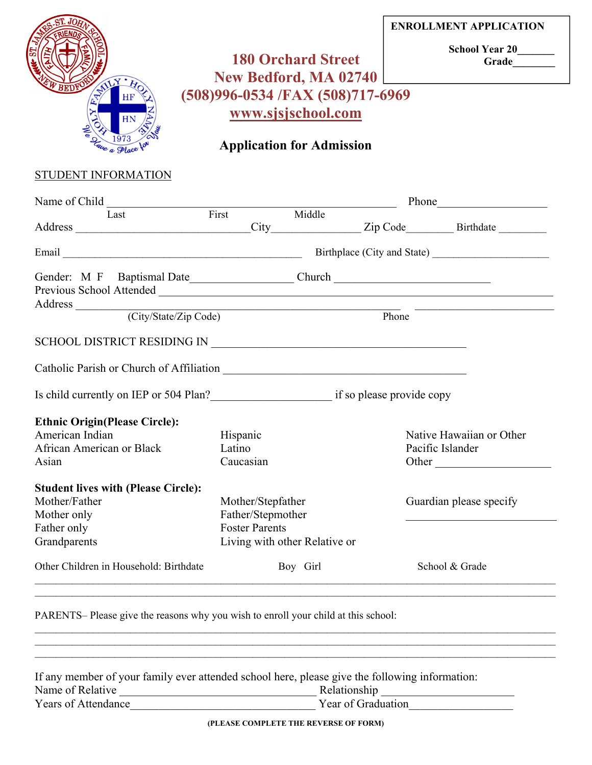| ST. JOHN O<br>FRIENDS<br>ST. |             |                                                                                    |  |
|------------------------------|-------------|------------------------------------------------------------------------------------|--|
| <b>EW BEDFOR</b>             | MIT<br>DIVY | HQ1<br>HF<br>$\mathbf{z}$<br><b>HN</b><br>$\approx 24$<br>$\frac{1973}{24}$<br>au. |  |

## **180 Orchard Street New Bedford, MA 02740 (508)996-0534 /FAX (508)717-6969 www.sjsjschool.com**

**ENROLLMENT APPLICATION** 

 **School Year 20\_\_\_\_\_\_\_ Canade** 

### **Application for Admission**

#### STUDENT INFORMATION

| Name of Child                                                                                   | Phone                                                                                                                 |              |                          |  |
|-------------------------------------------------------------------------------------------------|-----------------------------------------------------------------------------------------------------------------------|--------------|--------------------------|--|
| Last                                                                                            | First<br>Middle                                                                                                       |              |                          |  |
|                                                                                                 |                                                                                                                       |              |                          |  |
|                                                                                                 |                                                                                                                       |              |                          |  |
|                                                                                                 |                                                                                                                       |              |                          |  |
| Previous School Attended New York Changes and School Attended                                   |                                                                                                                       |              |                          |  |
|                                                                                                 |                                                                                                                       |              |                          |  |
|                                                                                                 | Address (City/State/Zip Code) Phone<br>Phone                                                                          |              |                          |  |
|                                                                                                 |                                                                                                                       |              |                          |  |
|                                                                                                 |                                                                                                                       |              |                          |  |
| Is child currently on IEP or 504 Plan?<br><u> Letting and the set of so</u> please provide copy |                                                                                                                       |              |                          |  |
| <b>Ethnic Origin(Please Circle):</b>                                                            |                                                                                                                       |              |                          |  |
| American Indian                                                                                 | Hispanic                                                                                                              |              | Native Hawaiian or Other |  |
| African American or Black                                                                       | Latino                                                                                                                |              | Pacific Islander         |  |
| Asian                                                                                           | Caucasian                                                                                                             |              | Other                    |  |
| <b>Student lives with (Please Circle):</b>                                                      |                                                                                                                       |              |                          |  |
| Mother/Father                                                                                   | Mother/Stepfather                                                                                                     |              | Guardian please specify  |  |
| Mother only                                                                                     | Father/Stepmother                                                                                                     |              |                          |  |
| Father only                                                                                     | <b>Foster Parents</b>                                                                                                 |              |                          |  |
| Grandparents                                                                                    | Living with other Relative or                                                                                         |              |                          |  |
| Other Children in Household: Birthdate                                                          | Boy Girl                                                                                                              |              | School & Grade           |  |
| PARENTS– Please give the reasons why you wish to enroll your child at this school:              |                                                                                                                       |              |                          |  |
| If any member of your family ever attended school here, please give the following information:  |                                                                                                                       |              |                          |  |
| Name of Relative                                                                                | <u> 1989 - Johann John Stein, marwolaeth a bhannaich an t-Amhair an t-Amhair an t-Amhair an t-Amhair an t-Amhair </u> | Relationship |                          |  |
|                                                                                                 |                                                                                                                       |              |                          |  |

Years of Attendance The Year of Graduation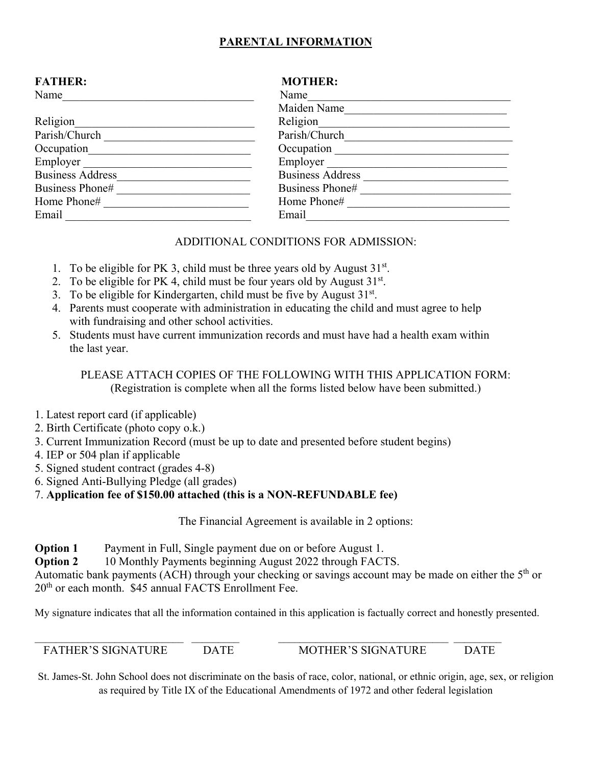### **PARENTAL INFORMATION**

| <b>FATHER:</b>          | <b>MOTHER:</b>          |
|-------------------------|-------------------------|
| Name                    | Name                    |
|                         | Maiden Name             |
| Religion                | Religion                |
| Parish/Church           | Parish/Church           |
| Occupation              | Occupation              |
| Employer                | Employer                |
| <b>Business Address</b> | <b>Business Address</b> |
| Business Phone#         | Business Phone#         |
| Home Phone#             | Home Phone#             |
| Email                   | Email                   |

#### ADDITIONAL CONDITIONS FOR ADMISSION:

- 1. To be eligible for PK 3, child must be three years old by August  $31^{st}$ .
- 2. To be eligible for PK 4, child must be four years old by August  $31^{st}$ .
- 3. To be eligible for Kindergarten, child must be five by August  $31<sup>st</sup>$ .
- 4. Parents must cooperate with administration in educating the child and must agree to help with fundraising and other school activities.
- 5. Students must have current immunization records and must have had a health exam within the last year.

#### PLEASE ATTACH COPIES OF THE FOLLOWING WITH THIS APPLICATION FORM: (Registration is complete when all the forms listed below have been submitted.)

- 1. Latest report card (if applicable)
- 2. Birth Certificate (photo copy o.k.)
- 3. Current Immunization Record (must be up to date and presented before student begins)
- 4. IEP or 504 plan if applicable
- 5. Signed student contract (grades 4-8)
- 6. Signed Anti-Bullying Pledge (all grades)

#### 7. **Application fee of \$150.00 attached (this is a NON-REFUNDABLE fee)**

The Financial Agreement is available in 2 options:

**Option 1** Payment in Full, Single payment due on or before August 1.

**Option 2** 10 Monthly Payments beginning August 2022 through FACTS.

Automatic bank payments (ACH) through your checking or savings account may be made on either the  $5<sup>th</sup>$  or 20<sup>th</sup> or each month. \$45 annual FACTS Enrollment Fee.

My signature indicates that all the information contained in this application is factually correct and honestly presented.

 $\mathcal{L}_\mathcal{L} = \{ \mathcal{L}_\mathcal{L} = \{ \mathcal{L}_\mathcal{L} = \{ \mathcal{L}_\mathcal{L} = \{ \mathcal{L}_\mathcal{L} = \{ \mathcal{L}_\mathcal{L} = \{ \mathcal{L}_\mathcal{L} = \{ \mathcal{L}_\mathcal{L} = \{ \mathcal{L}_\mathcal{L} = \{ \mathcal{L}_\mathcal{L} = \{ \mathcal{L}_\mathcal{L} = \{ \mathcal{L}_\mathcal{L} = \{ \mathcal{L}_\mathcal{L} = \{ \mathcal{L}_\mathcal{L} = \{ \mathcal{L}_\mathcal{$ 

FATHER'S SIGNATURE DATE MOTHER'S SIGNATURE DATE

St. James-St. John School does not discriminate on the basis of race, color, national, or ethnic origin, age, sex, or religion as required by Title IX of the Educational Amendments of 1972 and other federal legislation